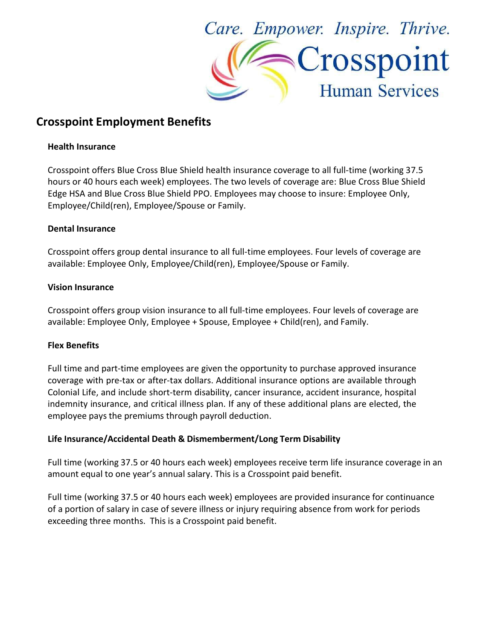

# Crosspoint Employment Benefits

### Health Insurance

Crosspoint offers Blue Cross Blue Shield health insurance coverage to all full-time (working 37.5 hours or 40 hours each week) employees. The two levels of coverage are: Blue Cross Blue Shield Edge HSA and Blue Cross Blue Shield PPO. Employees may choose to insure: Employee Only, Employee/Child(ren), Employee/Spouse or Family.

## Dental Insurance

Crosspoint offers group dental insurance to all full-time employees. Four levels of coverage are available: Employee Only, Employee/Child(ren), Employee/Spouse or Family.

#### Vision Insurance

Crosspoint offers group vision insurance to all full-time employees. Four levels of coverage are available: Employee Only, Employee + Spouse, Employee + Child(ren), and Family.

## Flex Benefits

Full time and part-time employees are given the opportunity to purchase approved insurance coverage with pre-tax or after-tax dollars. Additional insurance options are available through Colonial Life, and include short-term disability, cancer insurance, accident insurance, hospital indemnity insurance, and critical illness plan. If any of these additional plans are elected, the employee pays the premiums through payroll deduction.

## Life Insurance/Accidental Death & Dismemberment/Long Term Disability

Full time (working 37.5 or 40 hours each week) employees receive term life insurance coverage in an amount equal to one year's annual salary. This is a Crosspoint paid benefit.

Full time (working 37.5 or 40 hours each week) employees are provided insurance for continuance of a portion of salary in case of severe illness or injury requiring absence from work for periods exceeding three months. This is a Crosspoint paid benefit.